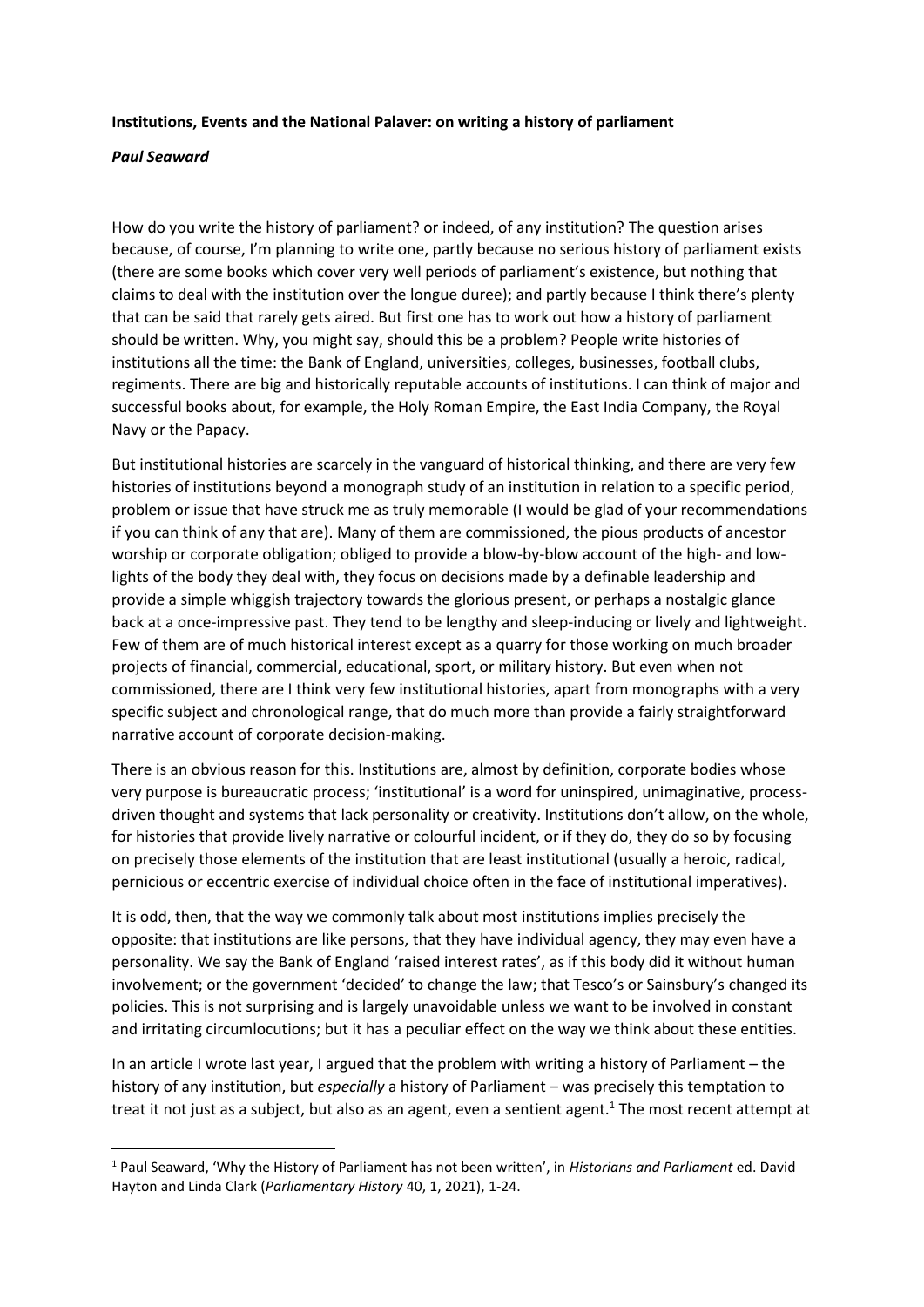### **Institutions, Events and the National Palaver: on writing a history of parliament**

### *Paul Seaward*

How do you write the history of parliament? or indeed, of any institution? The question arises because, of course, I'm planning to write one, partly because no serious history of parliament exists (there are some books which cover very well periods of parliament's existence, but nothing that claims to deal with the institution over the longue duree); and partly because I think there's plenty that can be said that rarely gets aired. But first one has to work out how a history of parliament should be written. Why, you might say, should this be a problem? People write histories of institutions all the time: the Bank of England, universities, colleges, businesses, football clubs, regiments. There are big and historically reputable accounts of institutions. I can think of major and successful books about, for example, the Holy Roman Empire, the East India Company, the Royal Navy or the Papacy.

But institutional histories are scarcely in the vanguard of historical thinking, and there are very few histories of institutions beyond a monograph study of an institution in relation to a specific period, problem or issue that have struck me as truly memorable (I would be glad of your recommendations if you can think of any that are). Many of them are commissioned, the pious products of ancestor worship or corporate obligation; obliged to provide a blow-by-blow account of the high- and lowlights of the body they deal with, they focus on decisions made by a definable leadership and provide a simple whiggish trajectory towards the glorious present, or perhaps a nostalgic glance back at a once-impressive past. They tend to be lengthy and sleep-inducing or lively and lightweight. Few of them are of much historical interest except as a quarry for those working on much broader projects of financial, commercial, educational, sport, or military history. But even when not commissioned, there are I think very few institutional histories, apart from monographs with a very specific subject and chronological range, that do much more than provide a fairly straightforward narrative account of corporate decision-making.

There is an obvious reason for this. Institutions are, almost by definition, corporate bodies whose very purpose is bureaucratic process; 'institutional' is a word for uninspired, unimaginative, processdriven thought and systems that lack personality or creativity. Institutions don't allow, on the whole, for histories that provide lively narrative or colourful incident, or if they do, they do so by focusing on precisely those elements of the institution that are least institutional (usually a heroic, radical, pernicious or eccentric exercise of individual choice often in the face of institutional imperatives).

It is odd, then, that the way we commonly talk about most institutions implies precisely the opposite: that institutions are like persons, that they have individual agency, they may even have a personality. We say the Bank of England 'raised interest rates', as if this body did it without human involvement; or the government 'decided' to change the law; that Tesco's or Sainsbury's changed its policies. This is not surprising and is largely unavoidable unless we want to be involved in constant and irritating circumlocutions; but it has a peculiar effect on the way we think about these entities.

In an article I wrote last year, I argued that the problem with writing a history of Parliament – the history of any institution, but *especially* a history of Parliament – was precisely this temptation to treat it not just as a subject, but also as an agent, even a sentient agent.<sup>1</sup> The most recent attempt at

<sup>1</sup> Paul Seaward, 'Why the History of Parliament has not been written', in *Historians and Parliament* ed. David Hayton and Linda Clark (*Parliamentary History* 40, 1, 2021), 1-24.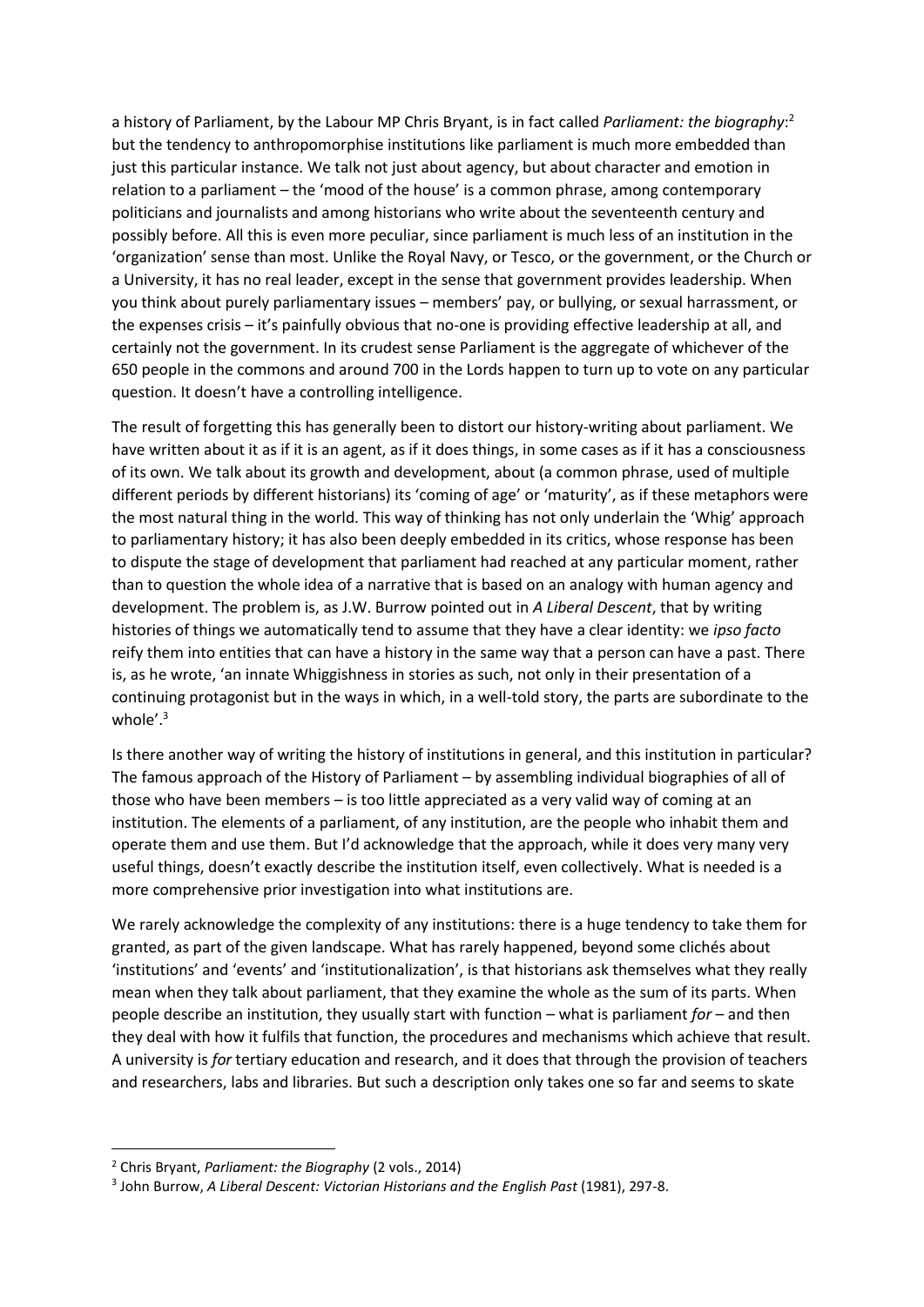a history of Parliament, by the Labour MP Chris Bryant, is in fact called *Parliament: the biography*: 2 but the tendency to anthropomorphise institutions like parliament is much more embedded than just this particular instance. We talk not just about agency, but about character and emotion in relation to a parliament – the 'mood of the house' is a common phrase, among contemporary politicians and journalists and among historians who write about the seventeenth century and possibly before. All this is even more peculiar, since parliament is much less of an institution in the 'organization' sense than most. Unlike the Royal Navy, or Tesco, or the government, or the Church or a University, it has no real leader, except in the sense that government provides leadership. When you think about purely parliamentary issues – members' pay, or bullying, or sexual harrassment, or the expenses crisis – it's painfully obvious that no-one is providing effective leadership at all, and certainly not the government. In its crudest sense Parliament is the aggregate of whichever of the 650 people in the commons and around 700 in the Lords happen to turn up to vote on any particular question. It doesn't have a controlling intelligence.

The result of forgetting this has generally been to distort our history-writing about parliament. We have written about it as if it is an agent, as if it does things, in some cases as if it has a consciousness of its own. We talk about its growth and development, about (a common phrase, used of multiple different periods by different historians) its 'coming of age' or 'maturity', as if these metaphors were the most natural thing in the world. This way of thinking has not only underlain the 'Whig' approach to parliamentary history; it has also been deeply embedded in its critics, whose response has been to dispute the stage of development that parliament had reached at any particular moment, rather than to question the whole idea of a narrative that is based on an analogy with human agency and development. The problem is, as J.W. Burrow pointed out in *A Liberal Descent*, that by writing histories of things we automatically tend to assume that they have a clear identity: we *ipso facto*  reify them into entities that can have a history in the same way that a person can have a past. There is, as he wrote, 'an innate Whiggishness in stories as such, not only in their presentation of a continuing protagonist but in the ways in which, in a well-told story, the parts are subordinate to the whole'.<sup>3</sup>

Is there another way of writing the history of institutions in general, and this institution in particular? The famous approach of the History of Parliament – by assembling individual biographies of all of those who have been members – is too little appreciated as a very valid way of coming at an institution. The elements of a parliament, of any institution, are the people who inhabit them and operate them and use them. But I'd acknowledge that the approach, while it does very many very useful things, doesn't exactly describe the institution itself, even collectively. What is needed is a more comprehensive prior investigation into what institutions are.

We rarely acknowledge the complexity of any institutions: there is a huge tendency to take them for granted, as part of the given landscape. What has rarely happened, beyond some clichés about 'institutions' and 'events' and 'institutionalization', is that historians ask themselves what they really mean when they talk about parliament, that they examine the whole as the sum of its parts. When people describe an institution, they usually start with function – what is parliament *for* – and then they deal with how it fulfils that function, the procedures and mechanisms which achieve that result. A university is *for* tertiary education and research, and it does that through the provision of teachers and researchers, labs and libraries. But such a description only takes one so far and seems to skate

<sup>2</sup> Chris Bryant, *Parliament: the Biography* (2 vols., 2014)

<sup>&</sup>lt;sup>3</sup> John Burrow, A Liberal Descent: Victorian Historians and the English Past (1981), 297-8.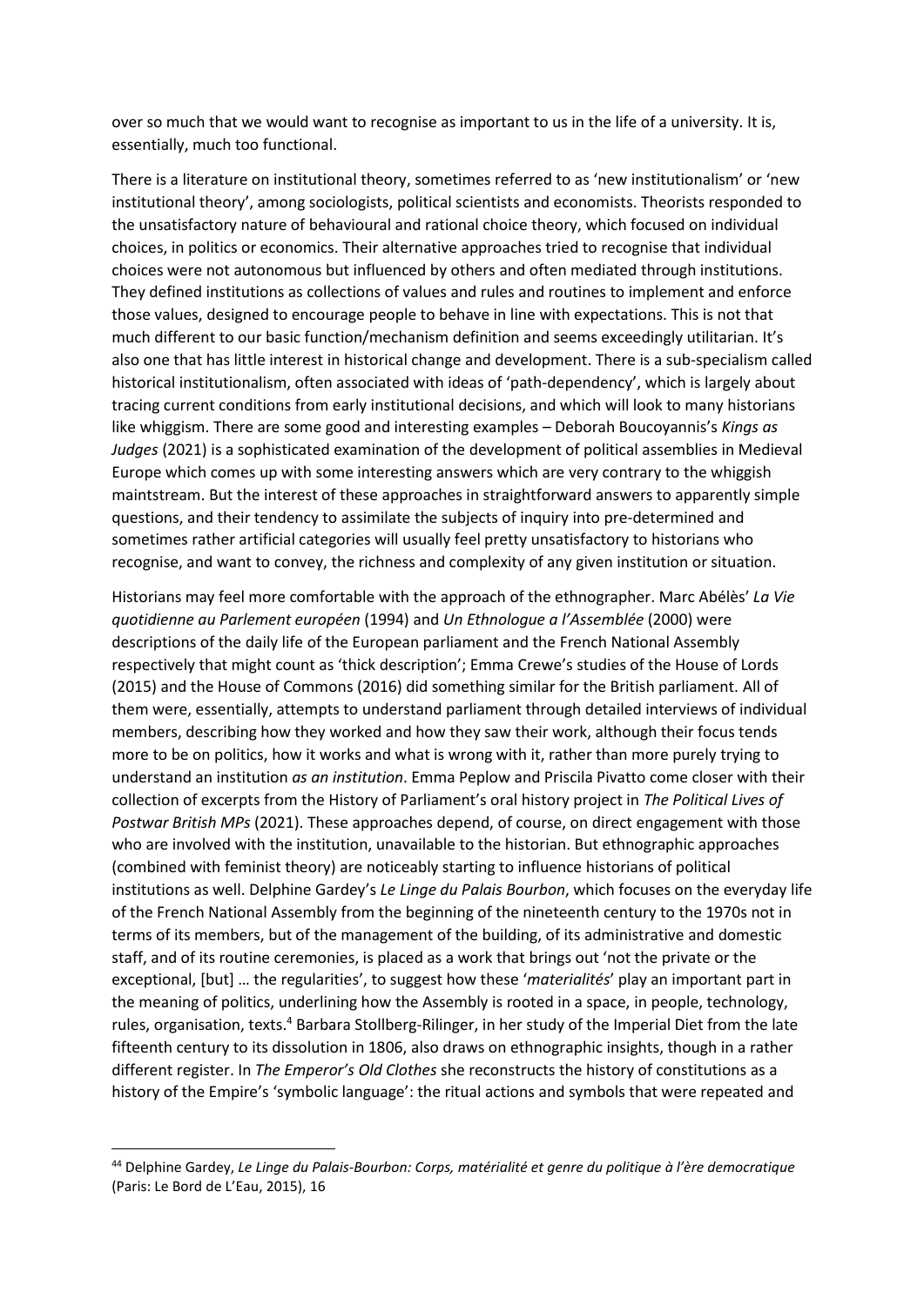over so much that we would want to recognise as important to us in the life of a university. It is, essentially, much too functional.

There is a literature on institutional theory, sometimes referred to as 'new institutionalism' or 'new institutional theory', among sociologists, political scientists and economists. Theorists responded to the unsatisfactory nature of behavioural and rational choice theory, which focused on individual choices, in politics or economics. Their alternative approaches tried to recognise that individual choices were not autonomous but influenced by others and often mediated through institutions. They defined institutions as collections of values and rules and routines to implement and enforce those values, designed to encourage people to behave in line with expectations. This is not that much different to our basic function/mechanism definition and seems exceedingly utilitarian. It's also one that has little interest in historical change and development. There is a sub-specialism called historical institutionalism, often associated with ideas of 'path-dependency', which is largely about tracing current conditions from early institutional decisions, and which will look to many historians like whiggism. There are some good and interesting examples – Deborah Boucoyannis's *Kings as Judges* (2021) is a sophisticated examination of the development of political assemblies in Medieval Europe which comes up with some interesting answers which are very contrary to the whiggish maintstream. But the interest of these approaches in straightforward answers to apparently simple questions, and their tendency to assimilate the subjects of inquiry into pre-determined and sometimes rather artificial categories will usually feel pretty unsatisfactory to historians who recognise, and want to convey, the richness and complexity of any given institution or situation.

Historians may feel more comfortable with the approach of the ethnographer. Marc Abélès' *La Vie quotidienne au Parlement européen* (1994) and *Un Ethnologue a l'Assemblée* (2000) were descriptions of the daily life of the European parliament and the French National Assembly respectively that might count as 'thick description'; Emma Crewe's studies of the House of Lords (2015) and the House of Commons (2016) did something similar for the British parliament. All of them were, essentially, attempts to understand parliament through detailed interviews of individual members, describing how they worked and how they saw their work, although their focus tends more to be on politics, how it works and what is wrong with it, rather than more purely trying to understand an institution *as an institution*. Emma Peplow and Priscila Pivatto come closer with their collection of excerpts from the History of Parliament's oral history project in *The Political Lives of Postwar British MPs* (2021). These approaches depend, of course, on direct engagement with those who are involved with the institution, unavailable to the historian. But ethnographic approaches (combined with feminist theory) are noticeably starting to influence historians of political institutions as well. Delphine Gardey's *Le Linge du Palais Bourbon*, which focuses on the everyday life of the French National Assembly from the beginning of the nineteenth century to the 1970s not in terms of its members, but of the management of the building, of its administrative and domestic staff, and of its routine ceremonies, is placed as a work that brings out 'not the private or the exceptional, [but] … the regularities', to suggest how these '*materialités*' play an important part in the meaning of politics, underlining how the Assembly is rooted in a space, in people, technology, rules, organisation, texts.<sup>4</sup> Barbara Stollberg-Rilinger, in her study of the Imperial Diet from the late fifteenth century to its dissolution in 1806, also draws on ethnographic insights, though in a rather different register. In *The Emperor's Old Clothes* she reconstructs the history of constitutions as a history of the Empire's 'symbolic language': the ritual actions and symbols that were repeated and

<sup>44</sup> Delphine Gardey, *Le Linge du Palais-Bourbon: Corps, matérialité et genre du politique à l'ère democratique*  (Paris: Le Bord de L'Eau, 2015), 16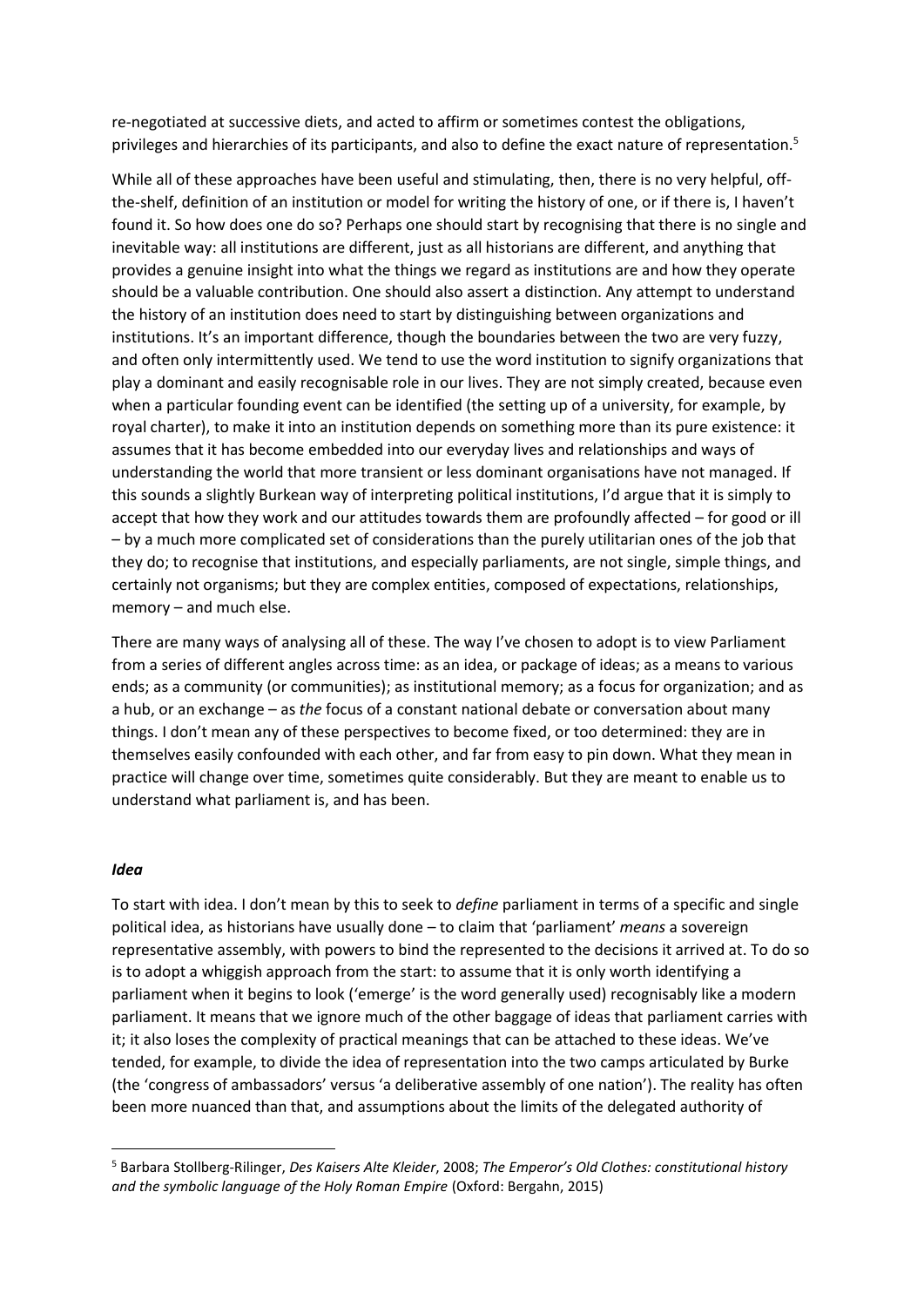re-negotiated at successive diets, and acted to affirm or sometimes contest the obligations, privileges and hierarchies of its participants, and also to define the exact nature of representation.<sup>5</sup>

While all of these approaches have been useful and stimulating, then, there is no very helpful, offthe-shelf, definition of an institution or model for writing the history of one, or if there is, I haven't found it. So how does one do so? Perhaps one should start by recognising that there is no single and inevitable way: all institutions are different, just as all historians are different, and anything that provides a genuine insight into what the things we regard as institutions are and how they operate should be a valuable contribution. One should also assert a distinction. Any attempt to understand the history of an institution does need to start by distinguishing between organizations and institutions. It's an important difference, though the boundaries between the two are very fuzzy, and often only intermittently used. We tend to use the word institution to signify organizations that play a dominant and easily recognisable role in our lives. They are not simply created, because even when a particular founding event can be identified (the setting up of a university, for example, by royal charter), to make it into an institution depends on something more than its pure existence: it assumes that it has become embedded into our everyday lives and relationships and ways of understanding the world that more transient or less dominant organisations have not managed. If this sounds a slightly Burkean way of interpreting political institutions, I'd argue that it is simply to accept that how they work and our attitudes towards them are profoundly affected – for good or ill – by a much more complicated set of considerations than the purely utilitarian ones of the job that they do; to recognise that institutions, and especially parliaments, are not single, simple things, and certainly not organisms; but they are complex entities, composed of expectations, relationships, memory – and much else.

There are many ways of analysing all of these. The way I've chosen to adopt is to view Parliament from a series of different angles across time: as an idea, or package of ideas; as a means to various ends; as a community (or communities); as institutional memory; as a focus for organization; and as a hub, or an exchange – as *the* focus of a constant national debate or conversation about many things. I don't mean any of these perspectives to become fixed, or too determined: they are in themselves easily confounded with each other, and far from easy to pin down. What they mean in practice will change over time, sometimes quite considerably. But they are meant to enable us to understand what parliament is, and has been.

### *Idea*

To start with idea. I don't mean by this to seek to *define* parliament in terms of a specific and single political idea, as historians have usually done – to claim that 'parliament' *means* a sovereign representative assembly, with powers to bind the represented to the decisions it arrived at. To do so is to adopt a whiggish approach from the start: to assume that it is only worth identifying a parliament when it begins to look ('emerge' is the word generally used) recognisably like a modern parliament. It means that we ignore much of the other baggage of ideas that parliament carries with it; it also loses the complexity of practical meanings that can be attached to these ideas. We've tended, for example, to divide the idea of representation into the two camps articulated by Burke (the 'congress of ambassadors' versus 'a deliberative assembly of one nation'). The reality has often been more nuanced than that, and assumptions about the limits of the delegated authority of

<sup>5</sup> Barbara Stollberg-Rilinger, *Des Kaisers Alte Kleider*, 2008; *The Emperor's Old Clothes: constitutional history and the symbolic language of the Holy Roman Empire* (Oxford: Bergahn, 2015)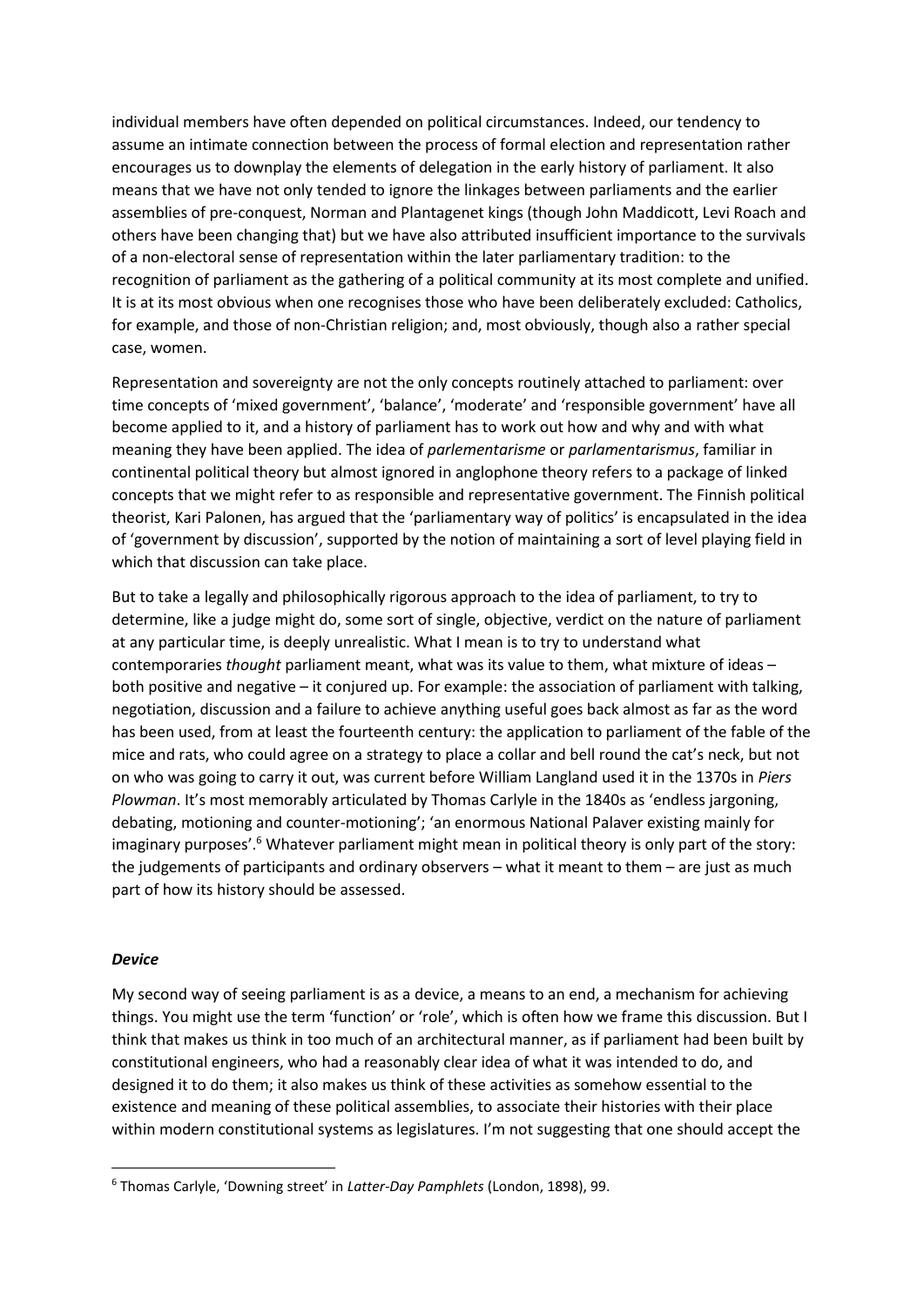individual members have often depended on political circumstances. Indeed, our tendency to assume an intimate connection between the process of formal election and representation rather encourages us to downplay the elements of delegation in the early history of parliament. It also means that we have not only tended to ignore the linkages between parliaments and the earlier assemblies of pre-conquest, Norman and Plantagenet kings (though John Maddicott, Levi Roach and others have been changing that) but we have also attributed insufficient importance to the survivals of a non-electoral sense of representation within the later parliamentary tradition: to the recognition of parliament as the gathering of a political community at its most complete and unified. It is at its most obvious when one recognises those who have been deliberately excluded: Catholics, for example, and those of non-Christian religion; and, most obviously, though also a rather special case, women.

Representation and sovereignty are not the only concepts routinely attached to parliament: over time concepts of 'mixed government', 'balance', 'moderate' and 'responsible government' have all become applied to it, and a history of parliament has to work out how and why and with what meaning they have been applied. The idea of *parlementarisme* or *parlamentarismus*, familiar in continental political theory but almost ignored in anglophone theory refers to a package of linked concepts that we might refer to as responsible and representative government. The Finnish political theorist, Kari Palonen, has argued that the 'parliamentary way of politics' is encapsulated in the idea of 'government by discussion', supported by the notion of maintaining a sort of level playing field in which that discussion can take place.

But to take a legally and philosophically rigorous approach to the idea of parliament, to try to determine, like a judge might do, some sort of single, objective, verdict on the nature of parliament at any particular time, is deeply unrealistic. What I mean is to try to understand what contemporaries *thought* parliament meant, what was its value to them, what mixture of ideas – both positive and negative – it conjured up. For example: the association of parliament with talking, negotiation, discussion and a failure to achieve anything useful goes back almost as far as the word has been used, from at least the fourteenth century: the application to parliament of the fable of the mice and rats, who could agree on a strategy to place a collar and bell round the cat's neck, but not on who was going to carry it out, was current before William Langland used it in the 1370s in *Piers Plowman*. It's most memorably articulated by Thomas Carlyle in the 1840s as 'endless jargoning, debating, motioning and counter-motioning'; 'an enormous National Palaver existing mainly for imaginary purposes'.<sup>6</sup> Whatever parliament might mean in political theory is only part of the story: the judgements of participants and ordinary observers – what it meant to them – are just as much part of how its history should be assessed.

## *Device*

My second way of seeing parliament is as a device, a means to an end, a mechanism for achieving things. You might use the term 'function' or 'role', which is often how we frame this discussion. But I think that makes us think in too much of an architectural manner, as if parliament had been built by constitutional engineers, who had a reasonably clear idea of what it was intended to do, and designed it to do them; it also makes us think of these activities as somehow essential to the existence and meaning of these political assemblies, to associate their histories with their place within modern constitutional systems as legislatures. I'm not suggesting that one should accept the

<sup>6</sup> Thomas Carlyle, 'Downing street' in *Latter-Day Pamphlets* (London, 1898), 99.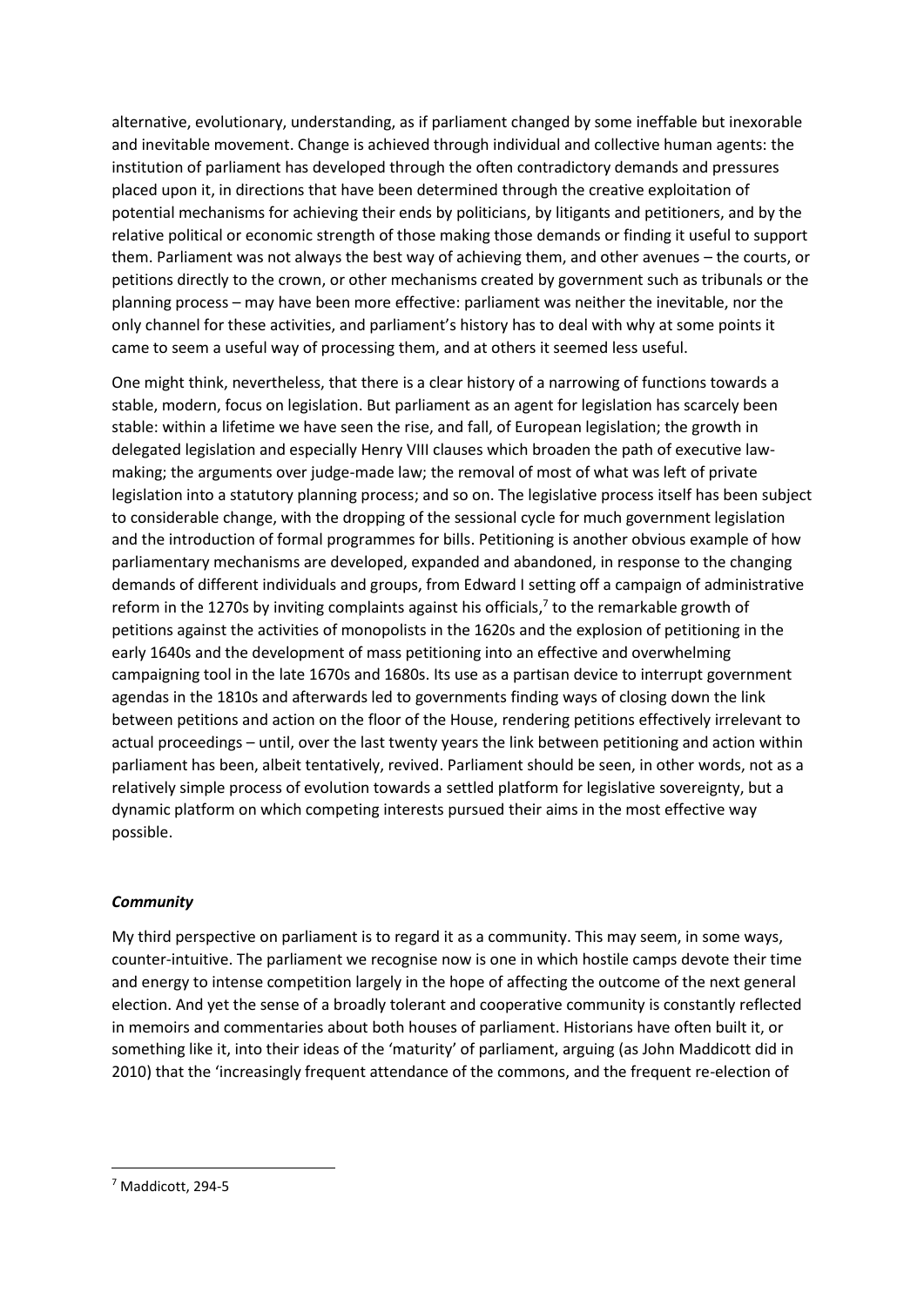alternative, evolutionary, understanding, as if parliament changed by some ineffable but inexorable and inevitable movement. Change is achieved through individual and collective human agents: the institution of parliament has developed through the often contradictory demands and pressures placed upon it, in directions that have been determined through the creative exploitation of potential mechanisms for achieving their ends by politicians, by litigants and petitioners, and by the relative political or economic strength of those making those demands or finding it useful to support them. Parliament was not always the best way of achieving them, and other avenues – the courts, or petitions directly to the crown, or other mechanisms created by government such as tribunals or the planning process – may have been more effective: parliament was neither the inevitable, nor the only channel for these activities, and parliament's history has to deal with why at some points it came to seem a useful way of processing them, and at others it seemed less useful.

One might think, nevertheless, that there is a clear history of a narrowing of functions towards a stable, modern, focus on legislation. But parliament as an agent for legislation has scarcely been stable: within a lifetime we have seen the rise, and fall, of European legislation; the growth in delegated legislation and especially Henry VIII clauses which broaden the path of executive lawmaking; the arguments over judge-made law; the removal of most of what was left of private legislation into a statutory planning process; and so on. The legislative process itself has been subject to considerable change, with the dropping of the sessional cycle for much government legislation and the introduction of formal programmes for bills. Petitioning is another obvious example of how parliamentary mechanisms are developed, expanded and abandoned, in response to the changing demands of different individuals and groups, from Edward I setting off a campaign of administrative reform in the 1270s by inviting complaints against his officials,<sup>7</sup> to the remarkable growth of petitions against the activities of monopolists in the 1620s and the explosion of petitioning in the early 1640s and the development of mass petitioning into an effective and overwhelming campaigning tool in the late 1670s and 1680s. Its use as a partisan device to interrupt government agendas in the 1810s and afterwards led to governments finding ways of closing down the link between petitions and action on the floor of the House, rendering petitions effectively irrelevant to actual proceedings – until, over the last twenty years the link between petitioning and action within parliament has been, albeit tentatively, revived. Parliament should be seen, in other words, not as a relatively simple process of evolution towards a settled platform for legislative sovereignty, but a dynamic platform on which competing interests pursued their aims in the most effective way possible.

# *Community*

My third perspective on parliament is to regard it as a community. This may seem, in some ways, counter-intuitive. The parliament we recognise now is one in which hostile camps devote their time and energy to intense competition largely in the hope of affecting the outcome of the next general election. And yet the sense of a broadly tolerant and cooperative community is constantly reflected in memoirs and commentaries about both houses of parliament. Historians have often built it, or something like it, into their ideas of the 'maturity' of parliament, arguing (as John Maddicott did in 2010) that the 'increasingly frequent attendance of the commons, and the frequent re-election of

<sup>7</sup> Maddicott, 294-5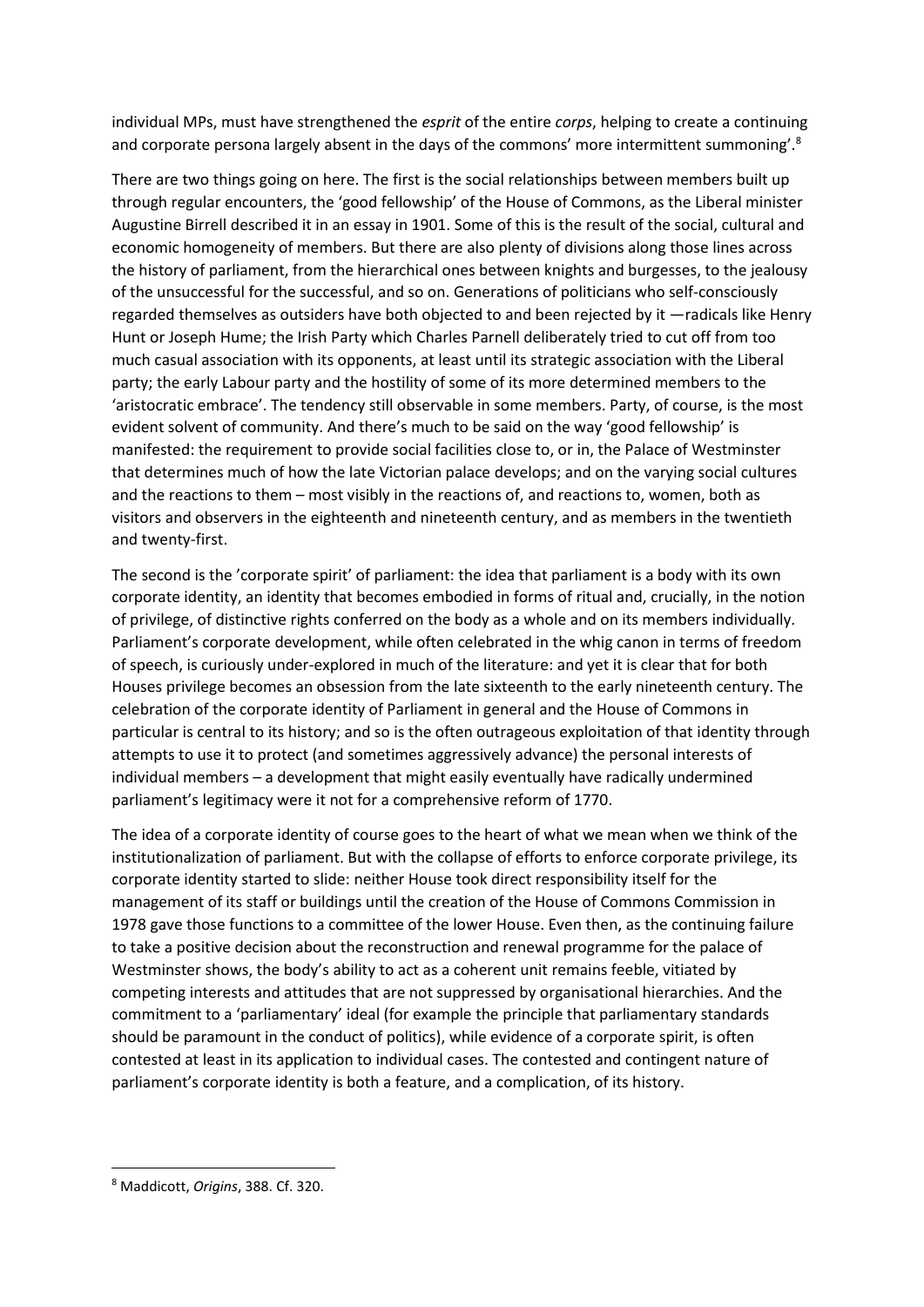individual MPs, must have strengthened the *esprit* of the entire *corps*, helping to create a continuing and corporate persona largely absent in the days of the commons' more intermittent summoning'.<sup>8</sup>

There are two things going on here. The first is the social relationships between members built up through regular encounters, the 'good fellowship' of the House of Commons, as the Liberal minister Augustine Birrell described it in an essay in 1901. Some of this is the result of the social, cultural and economic homogeneity of members. But there are also plenty of divisions along those lines across the history of parliament, from the hierarchical ones between knights and burgesses, to the jealousy of the unsuccessful for the successful, and so on. Generations of politicians who self-consciously regarded themselves as outsiders have both objected to and been rejected by it —radicals like Henry Hunt or Joseph Hume; the Irish Party which Charles Parnell deliberately tried to cut off from too much casual association with its opponents, at least until its strategic association with the Liberal party; the early Labour party and the hostility of some of its more determined members to the 'aristocratic embrace'. The tendency still observable in some members. Party, of course, is the most evident solvent of community. And there's much to be said on the way 'good fellowship' is manifested: the requirement to provide social facilities close to, or in, the Palace of Westminster that determines much of how the late Victorian palace develops; and on the varying social cultures and the reactions to them – most visibly in the reactions of, and reactions to, women, both as visitors and observers in the eighteenth and nineteenth century, and as members in the twentieth and twenty-first.

The second is the 'corporate spirit' of parliament: the idea that parliament is a body with its own corporate identity, an identity that becomes embodied in forms of ritual and, crucially, in the notion of privilege, of distinctive rights conferred on the body as a whole and on its members individually. Parliament's corporate development, while often celebrated in the whig canon in terms of freedom of speech, is curiously under-explored in much of the literature: and yet it is clear that for both Houses privilege becomes an obsession from the late sixteenth to the early nineteenth century. The celebration of the corporate identity of Parliament in general and the House of Commons in particular is central to its history; and so is the often outrageous exploitation of that identity through attempts to use it to protect (and sometimes aggressively advance) the personal interests of individual members – a development that might easily eventually have radically undermined parliament's legitimacy were it not for a comprehensive reform of 1770.

The idea of a corporate identity of course goes to the heart of what we mean when we think of the institutionalization of parliament. But with the collapse of efforts to enforce corporate privilege, its corporate identity started to slide: neither House took direct responsibility itself for the management of its staff or buildings until the creation of the House of Commons Commission in 1978 gave those functions to a committee of the lower House. Even then, as the continuing failure to take a positive decision about the reconstruction and renewal programme for the palace of Westminster shows, the body's ability to act as a coherent unit remains feeble, vitiated by competing interests and attitudes that are not suppressed by organisational hierarchies. And the commitment to a 'parliamentary' ideal (for example the principle that parliamentary standards should be paramount in the conduct of politics), while evidence of a corporate spirit, is often contested at least in its application to individual cases. The contested and contingent nature of parliament's corporate identity is both a feature, and a complication, of its history.

<sup>8</sup> Maddicott, *Origins*, 388. Cf. 320.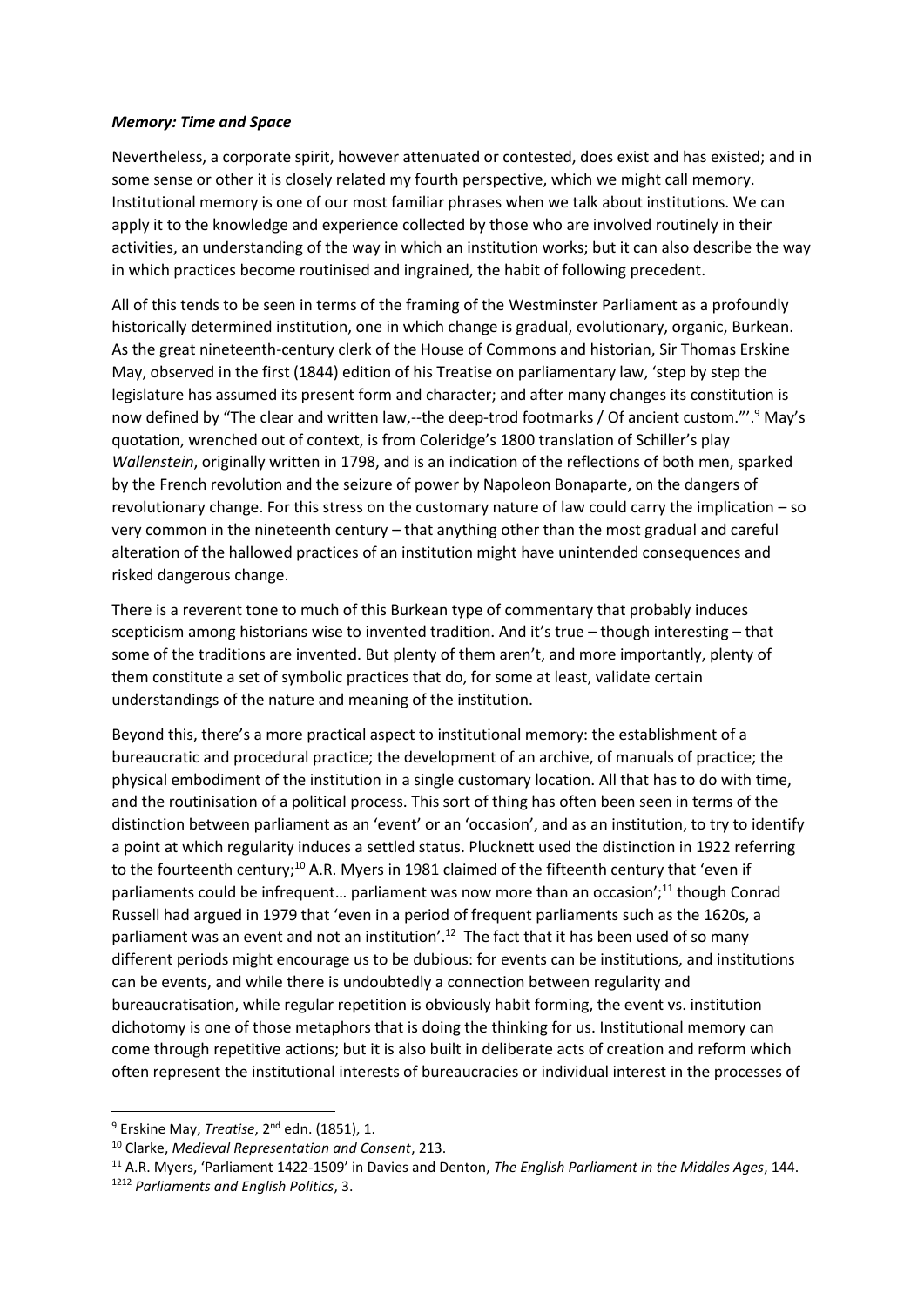### *Memory: Time and Space*

Nevertheless, a corporate spirit, however attenuated or contested, does exist and has existed; and in some sense or other it is closely related my fourth perspective, which we might call memory. Institutional memory is one of our most familiar phrases when we talk about institutions. We can apply it to the knowledge and experience collected by those who are involved routinely in their activities, an understanding of the way in which an institution works; but it can also describe the way in which practices become routinised and ingrained, the habit of following precedent.

All of this tends to be seen in terms of the framing of the Westminster Parliament as a profoundly historically determined institution, one in which change is gradual, evolutionary, organic, Burkean. As the great nineteenth-century clerk of the House of Commons and historian, Sir Thomas Erskine May, observed in the first (1844) edition of his Treatise on parliamentary law, 'step by step the legislature has assumed its present form and character; and after many changes its constitution is now defined by "The clear and written law,--the deep-trod footmarks / Of ancient custom."'.<sup>9</sup> May's quotation, wrenched out of context, is from Coleridge's 1800 translation of Schiller's play *Wallenstein*, originally written in 1798, and is an indication of the reflections of both men, sparked by the French revolution and the seizure of power by Napoleon Bonaparte, on the dangers of revolutionary change. For this stress on the customary nature of law could carry the implication – so very common in the nineteenth century – that anything other than the most gradual and careful alteration of the hallowed practices of an institution might have unintended consequences and risked dangerous change.

There is a reverent tone to much of this Burkean type of commentary that probably induces scepticism among historians wise to invented tradition. And it's true – though interesting – that some of the traditions are invented. But plenty of them aren't, and more importantly, plenty of them constitute a set of symbolic practices that do, for some at least, validate certain understandings of the nature and meaning of the institution.

Beyond this, there's a more practical aspect to institutional memory: the establishment of a bureaucratic and procedural practice; the development of an archive, of manuals of practice; the physical embodiment of the institution in a single customary location. All that has to do with time, and the routinisation of a political process. This sort of thing has often been seen in terms of the distinction between parliament as an 'event' or an 'occasion', and as an institution, to try to identify a point at which regularity induces a settled status. Plucknett used the distinction in 1922 referring to the fourteenth century;<sup>10</sup> A.R. Myers in 1981 claimed of the fifteenth century that 'even if parliaments could be infrequent... parliament was now more than an occasion';<sup>11</sup> though Conrad Russell had argued in 1979 that 'even in a period of frequent parliaments such as the 1620s, a parliament was an event and not an institution'.<sup>12</sup> The fact that it has been used of so many different periods might encourage us to be dubious: for events can be institutions, and institutions can be events, and while there is undoubtedly a connection between regularity and bureaucratisation, while regular repetition is obviously habit forming, the event vs. institution dichotomy is one of those metaphors that is doing the thinking for us. Institutional memory can come through repetitive actions; but it is also built in deliberate acts of creation and reform which often represent the institutional interests of bureaucracies or individual interest in the processes of

<sup>&</sup>lt;sup>9</sup> Erskine May, *Treatise*, 2<sup>nd</sup> edn. (1851), 1.

<sup>10</sup> Clarke, *Medieval Representation and Consent*, 213.

<sup>11</sup> A.R. Myers, 'Parliament 1422-1509' in Davies and Denton, *The English Parliament in the Middles Ages*, 144. <sup>1212</sup> *Parliaments and English Politics*, 3.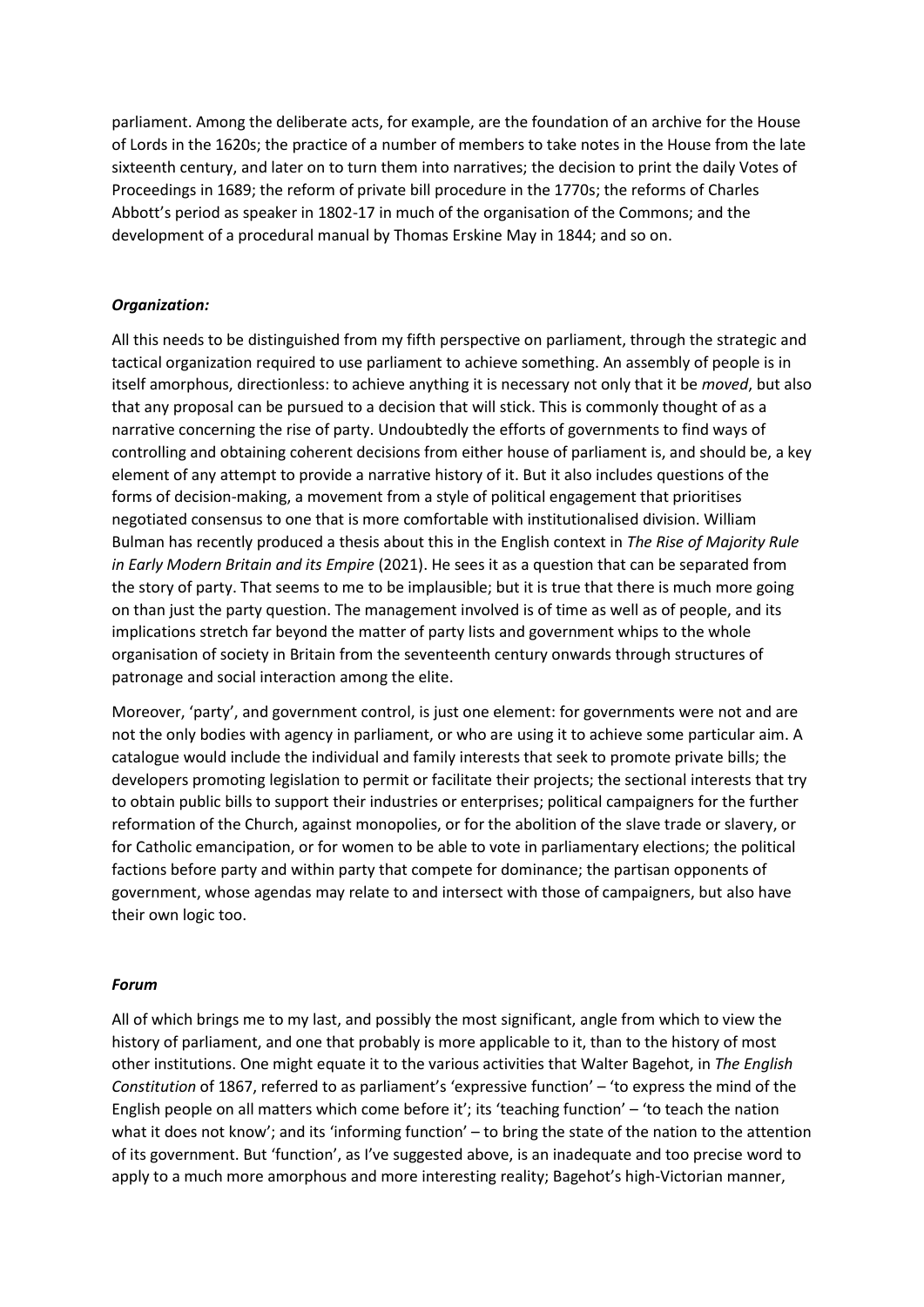parliament. Among the deliberate acts, for example, are the foundation of an archive for the House of Lords in the 1620s; the practice of a number of members to take notes in the House from the late sixteenth century, and later on to turn them into narratives; the decision to print the daily Votes of Proceedings in 1689; the reform of private bill procedure in the 1770s; the reforms of Charles Abbott's period as speaker in 1802-17 in much of the organisation of the Commons; and the development of a procedural manual by Thomas Erskine May in 1844; and so on.

### *Organization:*

All this needs to be distinguished from my fifth perspective on parliament, through the strategic and tactical organization required to use parliament to achieve something. An assembly of people is in itself amorphous, directionless: to achieve anything it is necessary not only that it be *moved*, but also that any proposal can be pursued to a decision that will stick. This is commonly thought of as a narrative concerning the rise of party. Undoubtedly the efforts of governments to find ways of controlling and obtaining coherent decisions from either house of parliament is, and should be, a key element of any attempt to provide a narrative history of it. But it also includes questions of the forms of decision-making, a movement from a style of political engagement that prioritises negotiated consensus to one that is more comfortable with institutionalised division. William Bulman has recently produced a thesis about this in the English context in *The Rise of Majority Rule in Early Modern Britain and its Empire* (2021). He sees it as a question that can be separated from the story of party. That seems to me to be implausible; but it is true that there is much more going on than just the party question. The management involved is of time as well as of people, and its implications stretch far beyond the matter of party lists and government whips to the whole organisation of society in Britain from the seventeenth century onwards through structures of patronage and social interaction among the elite.

Moreover, 'party', and government control, is just one element: for governments were not and are not the only bodies with agency in parliament, or who are using it to achieve some particular aim. A catalogue would include the individual and family interests that seek to promote private bills; the developers promoting legislation to permit or facilitate their projects; the sectional interests that try to obtain public bills to support their industries or enterprises; political campaigners for the further reformation of the Church, against monopolies, or for the abolition of the slave trade or slavery, or for Catholic emancipation, or for women to be able to vote in parliamentary elections; the political factions before party and within party that compete for dominance; the partisan opponents of government, whose agendas may relate to and intersect with those of campaigners, but also have their own logic too.

### *Forum*

All of which brings me to my last, and possibly the most significant, angle from which to view the history of parliament, and one that probably is more applicable to it, than to the history of most other institutions. One might equate it to the various activities that Walter Bagehot, in *The English Constitution* of 1867, referred to as parliament's 'expressive function' – 'to express the mind of the English people on all matters which come before it'; its 'teaching function' – 'to teach the nation what it does not know'; and its 'informing function' – to bring the state of the nation to the attention of its government. But 'function', as I've suggested above, is an inadequate and too precise word to apply to a much more amorphous and more interesting reality; Bagehot's high-Victorian manner,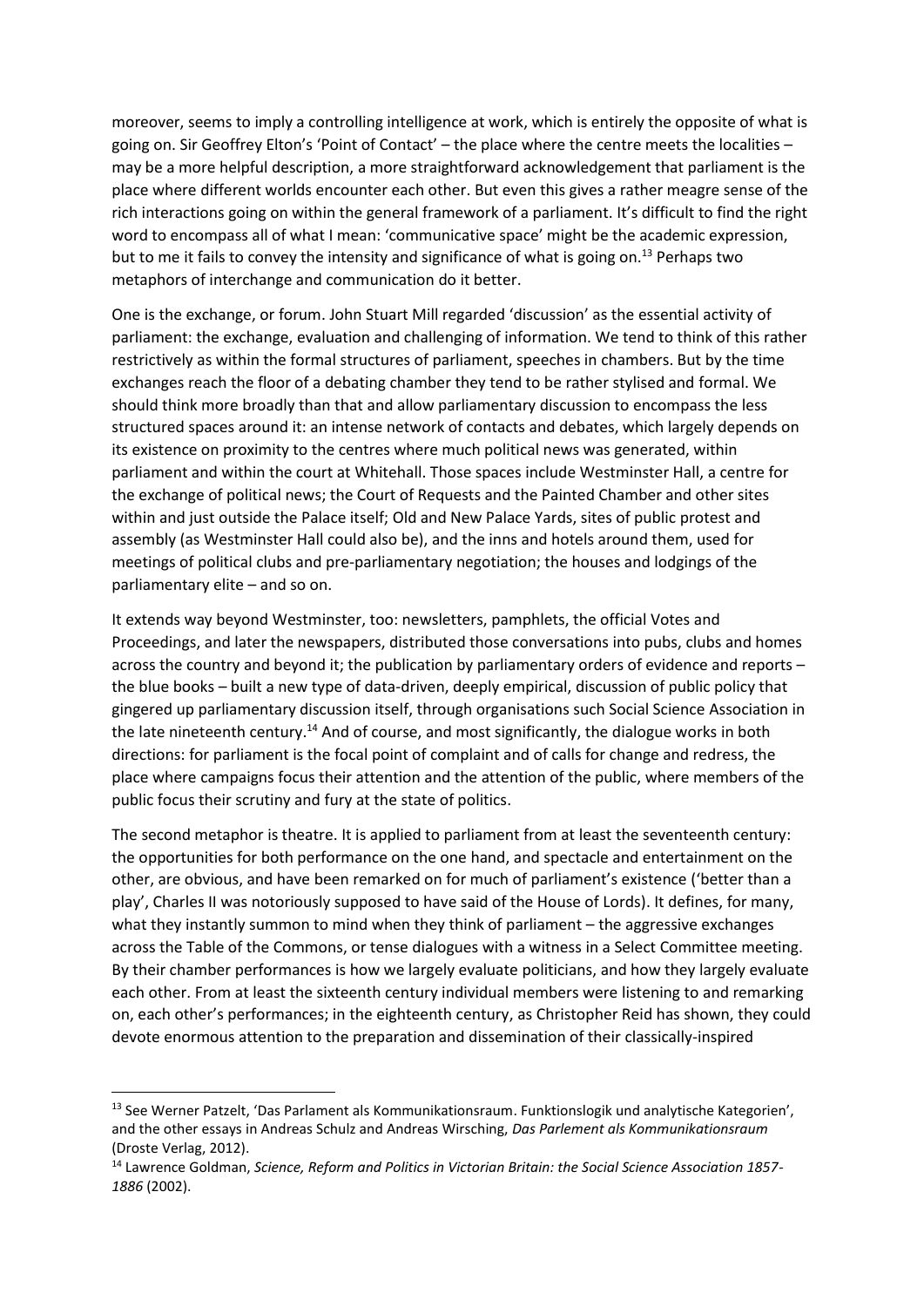moreover, seems to imply a controlling intelligence at work, which is entirely the opposite of what is going on. Sir Geoffrey Elton's 'Point of Contact' – the place where the centre meets the localities – may be a more helpful description, a more straightforward acknowledgement that parliament is the place where different worlds encounter each other. But even this gives a rather meagre sense of the rich interactions going on within the general framework of a parliament. It's difficult to find the right word to encompass all of what I mean: 'communicative space' might be the academic expression, but to me it fails to convey the intensity and significance of what is going on.<sup>13</sup> Perhaps two metaphors of interchange and communication do it better.

One is the exchange, or forum. John Stuart Mill regarded 'discussion' as the essential activity of parliament: the exchange, evaluation and challenging of information. We tend to think of this rather restrictively as within the formal structures of parliament, speeches in chambers. But by the time exchanges reach the floor of a debating chamber they tend to be rather stylised and formal. We should think more broadly than that and allow parliamentary discussion to encompass the less structured spaces around it: an intense network of contacts and debates, which largely depends on its existence on proximity to the centres where much political news was generated, within parliament and within the court at Whitehall. Those spaces include Westminster Hall, a centre for the exchange of political news; the Court of Requests and the Painted Chamber and other sites within and just outside the Palace itself; Old and New Palace Yards, sites of public protest and assembly (as Westminster Hall could also be), and the inns and hotels around them, used for meetings of political clubs and pre-parliamentary negotiation; the houses and lodgings of the parliamentary elite – and so on.

It extends way beyond Westminster, too: newsletters, pamphlets, the official Votes and Proceedings, and later the newspapers, distributed those conversations into pubs, clubs and homes across the country and beyond it; the publication by parliamentary orders of evidence and reports – the blue books – built a new type of data-driven, deeply empirical, discussion of public policy that gingered up parliamentary discussion itself, through organisations such Social Science Association in the late nineteenth century.<sup>14</sup> And of course, and most significantly, the dialogue works in both directions: for parliament is the focal point of complaint and of calls for change and redress, the place where campaigns focus their attention and the attention of the public, where members of the public focus their scrutiny and fury at the state of politics.

The second metaphor is theatre. It is applied to parliament from at least the seventeenth century: the opportunities for both performance on the one hand, and spectacle and entertainment on the other, are obvious, and have been remarked on for much of parliament's existence ('better than a play', Charles II was notoriously supposed to have said of the House of Lords). It defines, for many, what they instantly summon to mind when they think of parliament – the aggressive exchanges across the Table of the Commons, or tense dialogues with a witness in a Select Committee meeting. By their chamber performances is how we largely evaluate politicians, and how they largely evaluate each other. From at least the sixteenth century individual members were listening to and remarking on, each other's performances; in the eighteenth century, as Christopher Reid has shown, they could devote enormous attention to the preparation and dissemination of their classically-inspired

<sup>&</sup>lt;sup>13</sup> See Werner Patzelt, 'Das Parlament als Kommunikationsraum. Funktionslogik und analytische Kategorien', and the other essays in Andreas Schulz and Andreas Wirsching, *Das Parlement als Kommunikationsraum* (Droste Verlag, 2012).

<sup>14</sup> Lawrence Goldman, *Science, Reform and Politics in Victorian Britain: the Social Science Association 1857- 1886* (2002).